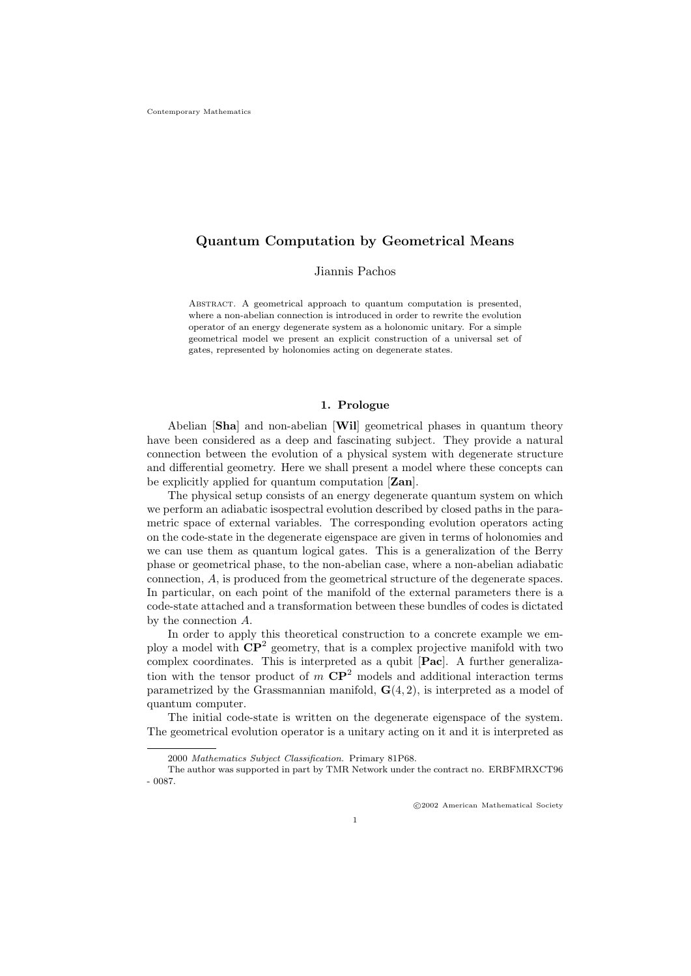# Quantum Computation by Geometrical Means

Jiannis Pachos

Abstract. A geometrical approach to quantum computation is presented, where a non-abelian connection is introduced in order to rewrite the evolution operator of an energy degenerate system as a holonomic unitary. For a simple geometrical model we present an explicit construction of a universal set of gates, represented by holonomies acting on degenerate states.

# 1. Prologue

Abelian [Sha] and non-abelian [Wil] geometrical phases in quantum theory have been considered as a deep and fascinating subject. They provide a natural connection between the evolution of a physical system with degenerate structure and differential geometry. Here we shall present a model where these concepts can be explicitly applied for quantum computation [**Zan**].

The physical setup consists of an energy degenerate quantum system on which we perform an adiabatic isospectral evolution described by closed paths in the parametric space of external variables. The corresponding evolution operators acting on the code-state in the degenerate eigenspace are given in terms of holonomies and we can use them as quantum logical gates. This is a generalization of the Berry phase or geometrical phase, to the non-abelian case, where a non-abelian adiabatic connection, A, is produced from the geometrical structure of the degenerate spaces. In particular, on each point of the manifold of the external parameters there is a code-state attached and a transformation between these bundles of codes is dictated by the connection A.

In order to apply this theoretical construction to a concrete example we employ a model with  $\mathbb{CP}^2$  geometry, that is a complex projective manifold with two complex coordinates. This is interpreted as a qubit [Pac]. A further generalization with the tensor product of  $m \, \text{CP}^2$  models and additional interaction terms parametrized by the Grassmannian manifold,  $\mathbf{G}(4,2)$ , is interpreted as a model of quantum computer.

The initial code-state is written on the degenerate eigenspace of the system. The geometrical evolution operator is a unitary acting on it and it is interpreted as

<sup>2000</sup> Mathematics Subject Classification. Primary 81P68.

The author was supported in part by TMR Network under the contract no. ERBFMRXCT96 - 0087.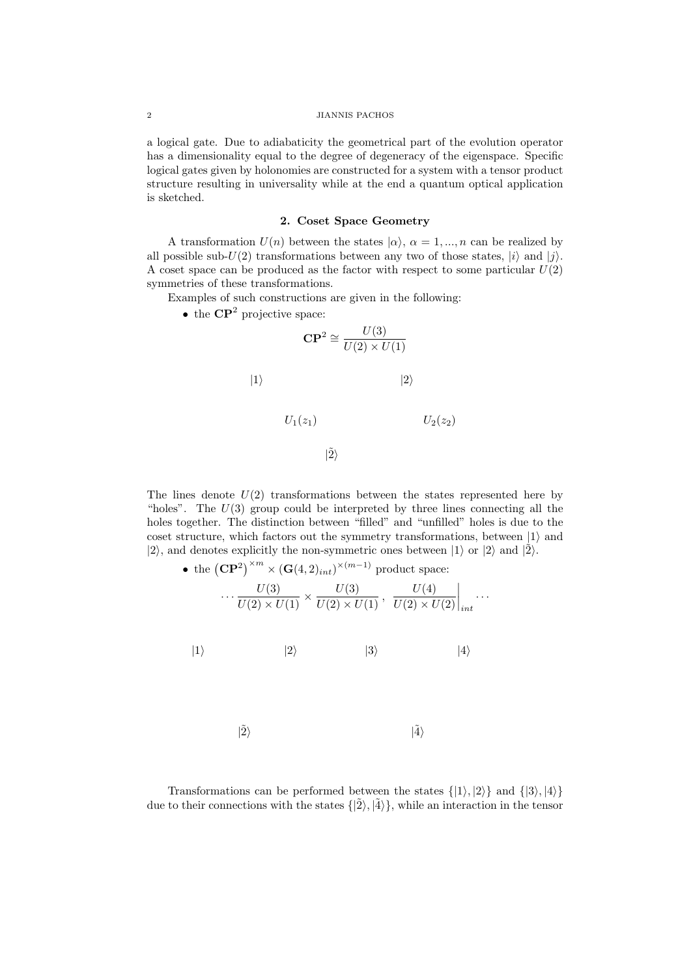# 2 JIANNIS PACHOS

a logical gate. Due to adiabaticity the geometrical part of the evolution operator has a dimensionality equal to the degree of degeneracy of the eigenspace. Specific logical gates given by holonomies are constructed for a system with a tensor product structure resulting in universality while at the end a quantum optical application is sketched.

# 2. Coset Space Geometry

A transformation  $U(n)$  between the states  $|\alpha\rangle$ ,  $\alpha = 1, ..., n$  can be realized by all possible sub-U(2) transformations between any two of those states,  $|i\rangle$  and  $|j\rangle$ . A coset space can be produced as the factor with respect to some particular  $U(2)$ symmetries of these transformations.

Examples of such constructions are given in the following:

• the  $\mathbb{C}P^2$  projective space:

$$
CP2 \cong \frac{U(3)}{U(2) \times U(1)}
$$
  
\n
$$
|1\rangle
$$
  
\n
$$
U_1(z_1)
$$
  
\n
$$
U_2(z_2)
$$
  
\n
$$
|2\rangle
$$
  
\n
$$
|2\rangle
$$

The lines denote  $U(2)$  transformations between the states represented here by "holes". The  $U(3)$  group could be interpreted by three lines connecting all the holes together. The distinction between "filled" and "unfilled" holes is due to the coset structure, which factors out the symmetry transformations, between  $|1\rangle$  and  $|2\rangle$ , and denotes explicitly the non-symmetric ones between  $|1\rangle$  or  $|2\rangle$  and  $|\tilde{2}\rangle$ .

• the 
$$
(\mathbf{CP}^2)^{\times m} \times (\mathbf{G}(4,2)_{int})^{\times (m-1)}
$$
 product space:  
\n
$$
\cdots \frac{U(3)}{U(2) \times U(1)} \times \frac{U(3)}{U(2) \times U(1)}, \frac{U(4)}{U(2) \times U(2)}\Big|_{int}
$$
\n
$$
|1\rangle
$$
\n
$$
|2\rangle
$$
\n
$$
|3\rangle
$$
\n
$$
|4\rangle
$$

 $|2\rangle$  $|\tilde{4}\rangle$ 

Transformations can be performed between the states  $\{|1\rangle, |2\rangle\}$  and  $\{|3\rangle, |4\rangle\}$ due to their connections with the states  $\{|\tilde{2}\rangle, |\tilde{4}\rangle\}$ , while an interaction in the tensor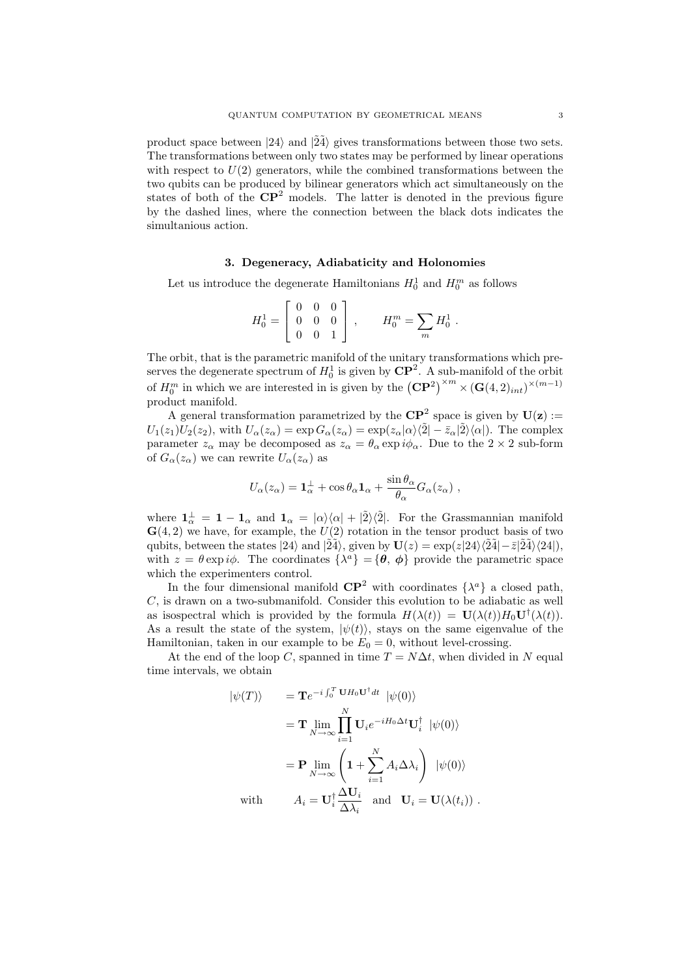product space between  $|24\rangle$  and  $|24\rangle$  gives transformations between those two sets. The transformations between only two states may be performed by linear operations with respect to  $U(2)$  generators, while the combined transformations between the two qubits can be produced by bilinear generators which act simultaneously on the states of both of the  $\mathbb{CP}^2$  models. The latter is denoted in the previous figure by the dashed lines, where the connection between the black dots indicates the simultanious action.

# 3. Degeneracy, Adiabaticity and Holonomies

Let us introduce the degenerate Hamiltonians  $H_0^1$  and  $H_0^m$  as follows

$$
H_0^1 = \left[ \begin{array}{ccc} 0 & 0 & 0 \\ 0 & 0 & 0 \\ 0 & 0 & 1 \end{array} \right] , \qquad H_0^m = \sum_m H_0^1 .
$$

The orbit, that is the parametric manifold of the unitary transformations which preserves the degenerate spectrum of  $H_0^1$  is given by  $\mathbb{CP}^2$ . A sub-manifold of the orbit of  $H_0^m$  in which we are interested in is given by the  $(\mathbf{CP}^2)^{\times m} \times (\mathbf{G}(4, 2)_{int})^{\times (m-1)}$ product manifold.

A general transformation parametrized by the  $\mathbb{CP}^2$  space is given by  $\mathbf{U}(\mathbf{z}) :=$  $U_1(z_1)U_2(z_2)$ , with  $U_\alpha(z_\alpha) = \exp G_\alpha(z_\alpha) = \exp(z_\alpha|\alpha\rangle\langle\tilde{2}| - \bar{z}_\alpha|\tilde{2}\rangle\langle\alpha|)$ . The complex parameter  $z_\alpha$  may be decomposed as  $z_\alpha = \theta_\alpha \exp i\phi_\alpha$ . Due to the  $2 \times 2$  sub-form of  $G_{\alpha}(z_{\alpha})$  we can rewrite  $U_{\alpha}(z_{\alpha})$  as

$$
U_{\alpha}(z_{\alpha}) = \mathbf{1}_{\alpha}^{\perp} + \cos \theta_{\alpha} \mathbf{1}_{\alpha} + \frac{\sin \theta_{\alpha}}{\theta_{\alpha}} G_{\alpha}(z_{\alpha}),
$$

where  $\mathbf{1}_{\alpha}^{\perp} = \mathbf{1} - \mathbf{1}_{\alpha}$  and  $\mathbf{1}_{\alpha} = |\alpha\rangle\langle\alpha| + |\tilde{2}\rangle\langle\tilde{2}|$ . For the Grassmannian manifold  $\mathbf{G}(4,2)$  we have, for example, the  $U(2)$  rotation in the tensor product basis of two qubits, between the states  $|24\rangle$  and  $|\tilde{24}\rangle$ , given by  $U(z) = \exp(z|24\rangle\langle\tilde{24}|-\bar{z}|\tilde{24}\rangle\langle24|)$ , with  $z = \theta \exp i\phi$ . The coordinates  $\{\lambda^a\} = \{\theta, \phi\}$  provide the parametric space which the experimenters control.

In the four dimensional manifold  $\mathbb{CP}^2$  with coordinates  $\{\lambda^a\}$  a closed path,  $C$ , is drawn on a two-submanifold. Consider this evolution to be adiabatic as well as isospectral which is provided by the formula  $H(\lambda(t)) = \mathbf{U}(\lambda(t))H_0\mathbf{U}^{\dagger}(\lambda(t)).$ As a result the state of the system,  $|\psi(t)\rangle$ , stays on the same eigenvalue of the Hamiltonian, taken in our example to be  $E_0 = 0$ , without level-crossing.

At the end of the loop C, spanned in time  $T = N\Delta t$ , when divided in N equal time intervals, we obtain

$$
\begin{aligned}\n|\psi(T)\rangle &= \mathbf{T} e^{-i \int_0^T \mathbf{U} H_0 \mathbf{U}^\dagger dt} \ |\psi(0)\rangle \\
&= \mathbf{T} \lim_{N \to \infty} \prod_{i=1}^N \mathbf{U}_i e^{-i H_0 \Delta t} \mathbf{U}_i^\dagger \ |\psi(0)\rangle \\
&= \mathbf{P} \lim_{N \to \infty} \left( \mathbf{1} + \sum_{i=1}^N A_i \Delta \lambda_i \right) \ |\psi(0)\rangle \\
\text{with} \qquad A_i = \mathbf{U}_i^\dagger \frac{\Delta \mathbf{U}_i}{\Delta \lambda_i} \text{ and } \mathbf{U}_i = \mathbf{U}(\lambda(t_i)) \ .\n\end{aligned}
$$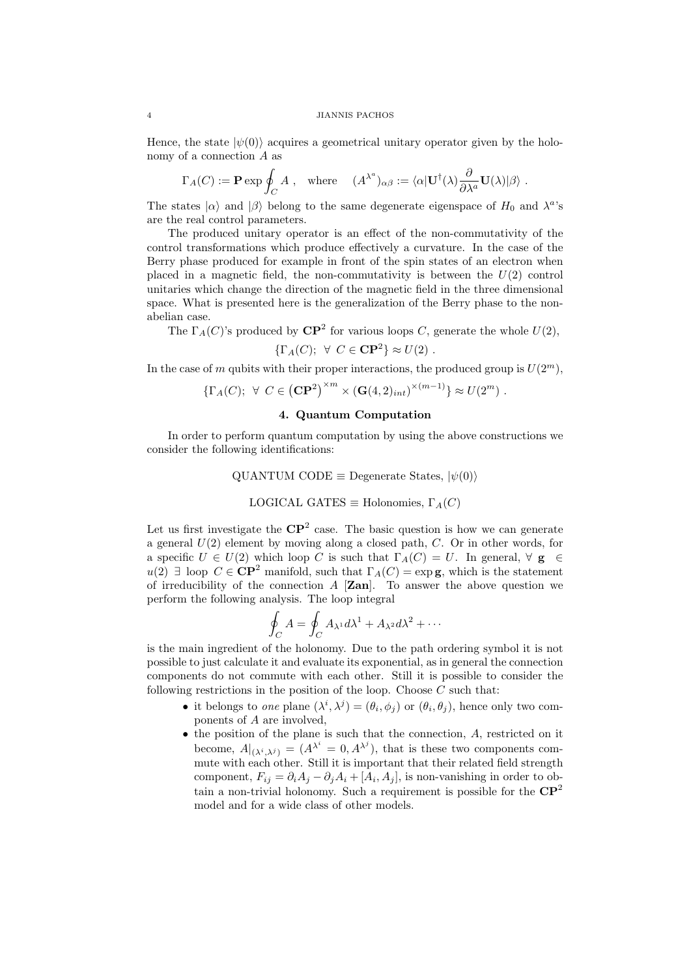#### 4 JIANNIS PACHOS

Hence, the state  $|\psi(0)\rangle$  acquires a geometrical unitary operator given by the holonomy of a connection A as

$$
\Gamma_A(C):=\mathbf{P}\exp\oint_C A\ ,\quad\text{where}\quad \ (A^{\lambda^a})_{\alpha\beta}:=\langle\alpha\vert \mathbf{U}^\dagger(\lambda)\frac{\partial}{\partial\lambda^a}\mathbf{U}(\lambda)\vert\beta\rangle\ .
$$

The states  $|\alpha\rangle$  and  $|\beta\rangle$  belong to the same degenerate eigenspace of  $H_0$  and  $\lambda^a$ 's are the real control parameters.

The produced unitary operator is an effect of the non-commutativity of the control transformations which produce effectively a curvature. In the case of the Berry phase produced for example in front of the spin states of an electron when placed in a magnetic field, the non-commutativity is between the  $U(2)$  control unitaries which change the direction of the magnetic field in the three dimensional space. What is presented here is the generalization of the Berry phase to the nonabelian case.

The  $\Gamma_A(C)$ 's produced by  $\mathbb{CP}^2$  for various loops C, generate the whole  $U(2)$ ,

$$
\{\Gamma_A(C); \ \forall \ C \in \mathbf{CP}^2\} \approx U(2) \ .
$$

In the case of m qubits with their proper interactions, the produced group is  $U(2^m)$ ,

$$
\{\Gamma_A(C); \forall C \in (\mathbf{CP}^2)^{\times m} \times (\mathbf{G}(4,2)_{int})^{\times (m-1)}\} \approx U(2^m) .
$$

# 4. Quantum Computation

In order to perform quantum computation by using the above constructions we consider the following identifications:

QUANTUM CODE 
$$
\equiv
$$
 Degenerate States,  $|\psi(0)\rangle$ 

LOGICAL GATES 
$$
\equiv
$$
 Holonomies,  $\Gamma_A(C)$ 

Let us first investigate the  $\mathbb{CP}^2$  case. The basic question is how we can generate a general  $U(2)$  element by moving along a closed path, C. Or in other words, for a specific  $U \in U(2)$  which loop C is such that  $\Gamma_A(C) = U$ . In general,  $\forall g \in \mathcal{E}$  $u(2) \exists$  loop  $C \in \mathbb{C}P^2$  manifold, such that  $\Gamma_A(C) = \exp \mathbf{g}$ , which is the statement of irreducibility of the connection  $A$  [Zan]. To answer the above question we perform the following analysis. The loop integral

$$
\oint_C A = \oint_C A_{\lambda^1} d\lambda^1 + A_{\lambda^2} d\lambda^2 + \cdots
$$

is the main ingredient of the holonomy. Due to the path ordering symbol it is not possible to just calculate it and evaluate its exponential, as in general the connection components do not commute with each other. Still it is possible to consider the following restrictions in the position of the loop. Choose  $C$  such that:

- it belongs to one plane  $(\lambda^i, \lambda^j) = (\theta_i, \phi_j)$  or  $(\theta_i, \theta_j)$ , hence only two components of A are involved,
- the position of the plane is such that the connection, A, restricted on it become,  $A|_{(\lambda^i, \lambda^j)} = (A^{\lambda^i} = 0, A^{\lambda^j})$ , that is these two components commute with each other. Still it is important that their related field strength component,  $F_{ij} = \partial_i A_j - \partial_j A_i + [A_i, A_j]$ , is non-vanishing in order to obtain a non-trivial holonomy. Such a requirement is possible for the  $\mathbb{CP}^2$ model and for a wide class of other models.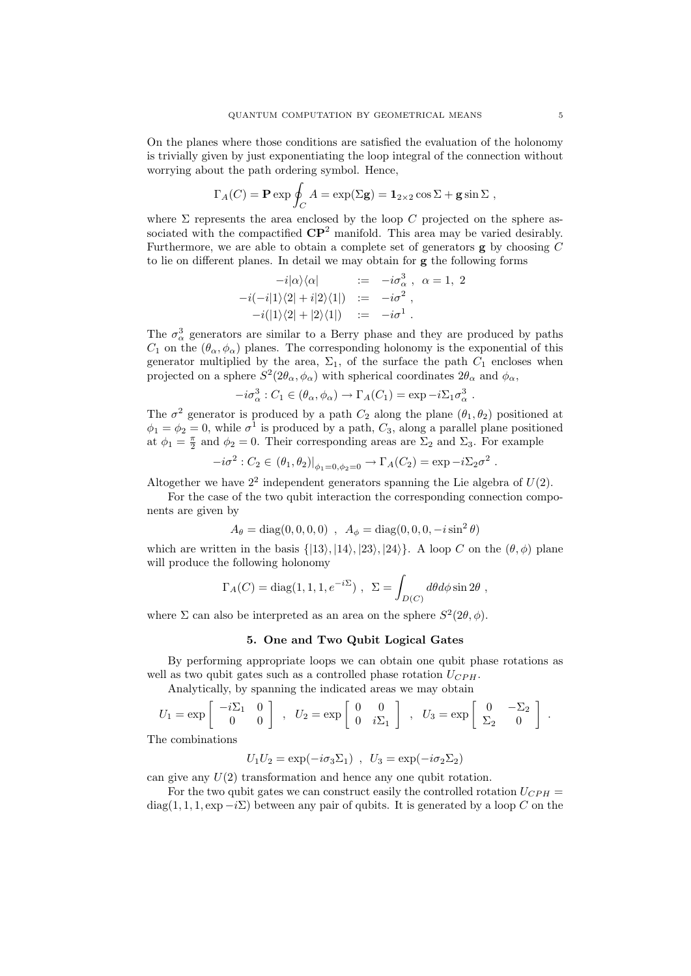On the planes where those conditions are satisfied the evaluation of the holonomy is trivially given by just exponentiating the loop integral of the connection without worrying about the path ordering symbol. Hence,

$$
\Gamma_A(C) = \mathbf{P} \exp \oint_C A = \exp(\Sigma \mathbf{g}) = \mathbf{1}_{2 \times 2} \cos \Sigma + \mathbf{g} \sin \Sigma ,
$$

where  $\Sigma$  represents the area enclosed by the loop C projected on the sphere associated with the compactified  $\mathbb{CP}^2$  manifold. This area may be varied desirably. Furthermore, we are able to obtain a complete set of generators  $g$  by choosing  $C$ to lie on different planes. In detail we may obtain for g the following forms

$$
-i|\alpha\rangle\langle\alpha| := -i\sigma_{\alpha}^{3}, \ \alpha = 1, \ 2
$$
  

$$
-i(-i|1\rangle\langle 2| + i|2\rangle\langle 1|) := -i\sigma^{2},
$$
  

$$
-i(|1\rangle\langle 2| + |2\rangle\langle 1|) := -i\sigma^{1}.
$$

The  $\sigma_{\alpha}^{3}$  generators are similar to a Berry phase and they are produced by paths  $C_1$  on the  $(\theta_\alpha, \phi_\alpha)$  planes. The corresponding holonomy is the exponential of this generator multiplied by the area,  $\Sigma_1$ , of the surface the path  $C_1$  encloses when projected on a sphere  $S^2(2\theta_\alpha, \phi_\alpha)$  with spherical coordinates  $2\theta_\alpha$  and  $\phi_\alpha$ ,

$$
-i\sigma_{\alpha}^{3}: C_{1} \in (\theta_{\alpha}, \phi_{\alpha}) \to \Gamma_{A}(C_{1}) = \exp -i\Sigma_{1}\sigma_{\alpha}^{3}.
$$

The  $\sigma^2$  generator is produced by a path  $C_2$  along the plane  $(\theta_1, \theta_2)$  positioned at  $\phi_1 = \phi_2 = 0$ , while  $\sigma^1$  is produced by a path,  $C_3$ , along a parallel plane positioned at  $\phi_1 = \frac{\pi}{2}$  and  $\phi_2 = 0$ . Their corresponding areas are  $\Sigma_2$  and  $\Sigma_3$ . For example

$$
-i\sigma^2 : C_2 \in (\theta_1, \theta_2)|_{\phi_1 = 0, \phi_2 = 0} \to \Gamma_A(C_2) = \exp -i\Sigma_2 \sigma^2.
$$

Altogether we have  $2^2$  independent generators spanning the Lie algebra of  $U(2)$ .

For the case of the two qubit interaction the corresponding connection components are given by

$$
A_{\theta} = \text{diag}(0, 0, 0, 0) , A_{\phi} = \text{diag}(0, 0, 0, -i\sin^2\theta)
$$

which are written in the basis  $\{ |13\rangle, |14\rangle, |23\rangle, |24\rangle \}$ . A loop C on the  $(\theta, \phi)$  plane will produce the following holonomy

$$
\Gamma_A(C) = \text{diag}(1, 1, 1, e^{-i\Sigma}) , \ \Sigma = \int_{D(C)} d\theta d\phi \sin 2\theta ,
$$

where  $\Sigma$  can also be interpreted as an area on the sphere  $S^2(2\theta, \phi)$ .

# 5. One and Two Qubit Logical Gates

By performing appropriate loops we can obtain one qubit phase rotations as well as two qubit gates such as a controlled phase rotation  $U_{CPH}$ .

Analytically, by spanning the indicated areas we may obtain

$$
U_1 = \exp\left[\begin{array}{cc} -i\Sigma_1 & 0\\ 0 & 0 \end{array}\right] , U_2 = \exp\left[\begin{array}{cc} 0 & 0\\ 0 & i\Sigma_1 \end{array}\right] , U_3 = \exp\left[\begin{array}{cc} 0 & -\Sigma_2\\ \Sigma_2 & 0 \end{array}\right] .
$$

The combinations

$$
U_1 U_2 = \exp(-i\sigma_3 \Sigma_1) , U_3 = \exp(-i\sigma_2 \Sigma_2)
$$

can give any  $U(2)$  transformation and hence any one qubit rotation.

For the two qubit gates we can construct easily the controlled rotation  $U_{CPH}$  = diag(1, 1, 1, exp  $-i\Sigma$ ) between any pair of qubits. It is generated by a loop C on the